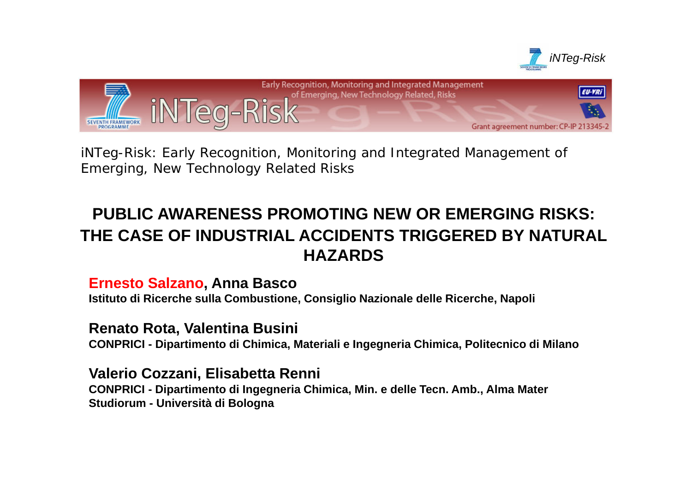



*iNTeg-Risk: Early Recognition, Monitoring and Integrated Management of Emerging, New Technology Related Risks*

#### **PUBLIC AWARENESS PROMOTING NEW OR EMERGING RISKS: THE CASE OF INDUSTRIAL ACCIDENTS TRIGGERED BY NATURAL HAZARDS**

#### **Ernesto Salzano, Anna Basco**

Istituto di Ricerche sulla Combustione, Consiglio Nazionale delle Ricerche, Napoli<br>Renato Rota, Valentina Busini

**CONPRICI - Dipartimento di Chimica, Materiali e Ingegneria Chimica, Politecnico di Milano** 

#### **Valerio Cozzani, Elisabetta Renni**

**CONPRICI - Dipartimento di Ingegneria Chimica, Min. e delle Tecn. Amb., Alma Mater Studiorum - Università di Bologna**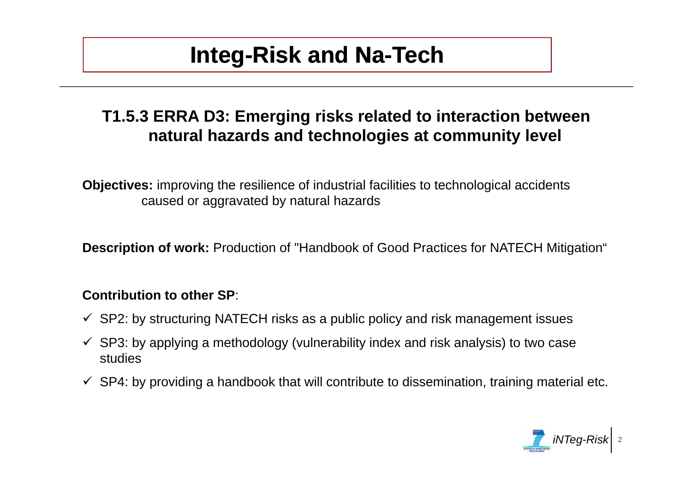# **Integ-Risk and Na-Tech**

#### **T1.5.3 ERRA D3: Emerging risks related to interaction between natural hazards and technologies at community level**

**Objectives:** improving the resilience of industrial facilities to technological accidents caused or aggravated by natural hazards

**Description of work:** Production of "Handbook of Good Practices for NATECH Mitigation"

#### **Contribution to other SP** :

- $\checkmark$  SP2: by structuring NATECH risks as a public policy and risk management issues
- $\checkmark$  SP3: by applying a methodology (vulnerability index and risk analysis) to two case studies
- $\checkmark$  SP4: by providing a handbook that will contribute to dissemination, training material etc.

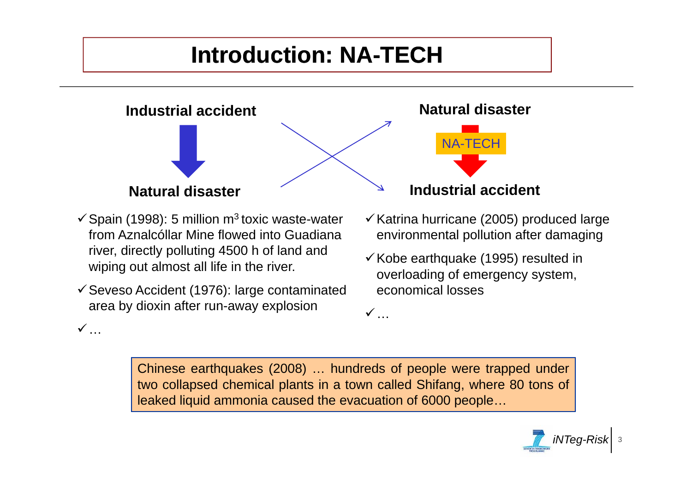

- $\checkmark$  Spain (1998): 5 million m<sup>3</sup> toxic waste-water from Aznalcóllar Mine flowed into Guadiana river, directly polluting 4500 h of land and wiping out almost all life in the river.
- $\checkmark$  Seveso Accident (1976): large contaminated area by dioxin after run-away explosion

 $\checkmark$  . . .

- $\checkmark$  Katrina hurricane (2005) produced large environmental pollution after damaging
- $\checkmark$  Kobe earthquake (1995) resulted in overloading of emergency system, economical losses

Chinese earthquakes (2008) … hundreds of people were trapped under two collapsed chemical plants in <sup>a</sup> town called Shifang, where 80 tons of leaked liquid ammonia caused the evacuation of 6000 people…

 $\checkmark$   $\ldots$ 

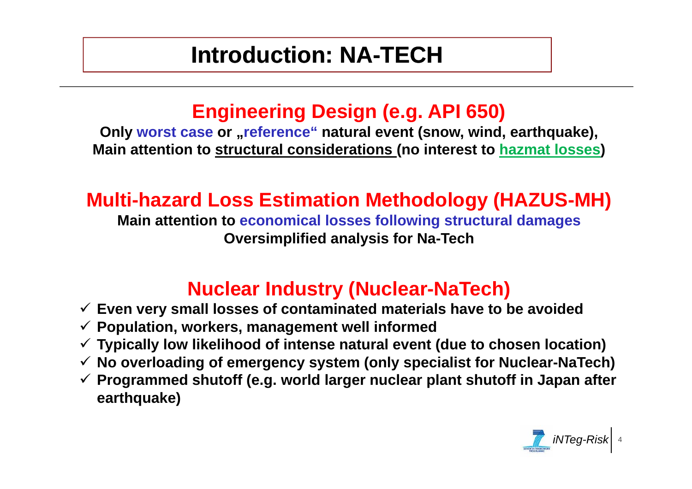### **Engineering Design (e.g. API 650)**

**Only worst case or "reference reference" natural event (snow wind earthquake) (snow, wind, earthquake), Main attention to structural considerations (no interest to hazmat losses)** 

#### **Multi-hazard Loss Estimation Methodology (HAZUS-MH)**

**Main attention to economical losses following structural damages Oversimplified analysis for Na-Tech** 

### **Nuclear Industry (Nuclear-NaTech)**

- 9 **Even very small losses of contaminated materials have to be avoided**
- 9 **Population, workers, management well informed**
- 9 **Typically low likelihood of intense natural event (due to chosen location)**
- 9 **No overloading of emergency system (only specialist for Nuclear-NaTech)**
- 9 **Programmed shutoff (e.g. world larger nuclear plant shutoff in Japan after earthquake)**

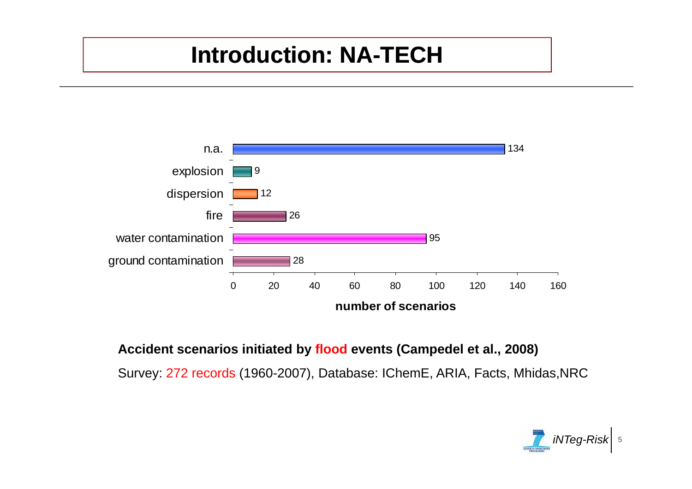

#### **Accident scenarios initiated by flood events (p , ) Campedel et al., 2008)**

Survey: 272 records (1960-2007), Database: IChemE, ARIA, Facts, Mhidas,NRC

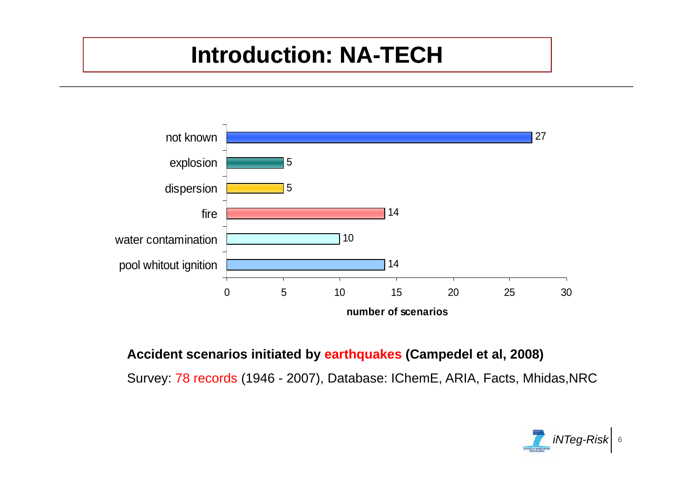

#### **Accident scenarios initiated by earthquakes (Campedel et al, 2008)**

Survey: 78 records (1946 - 2007), Database: IChemE, ARIA, Facts, Mhidas,NRC

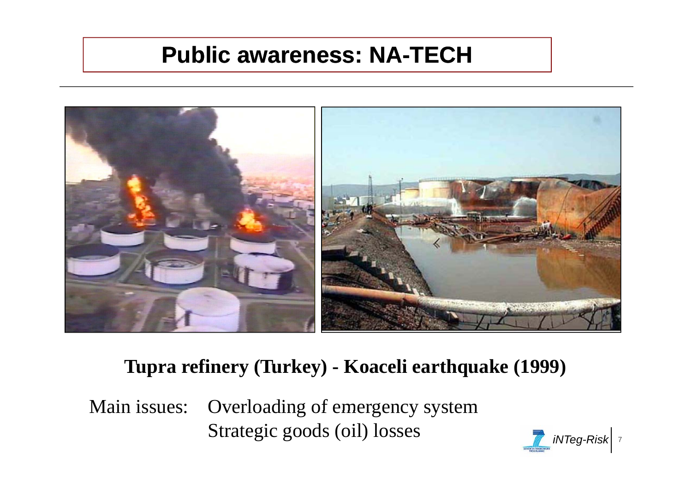

#### **Tupra refinery (Turkey) - Koaceli earthquake (1999)**

Main issues:n issues: Overloading of emergency system Strategic goods (oil) losses

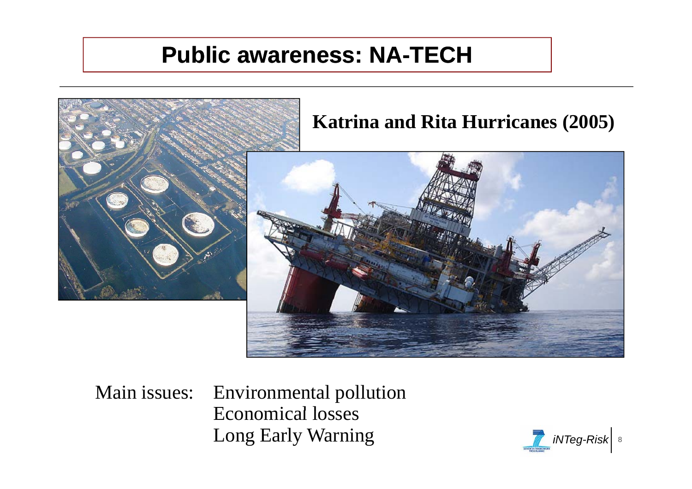

Main issues: Environmental pollution Economical losses Long Early Warning

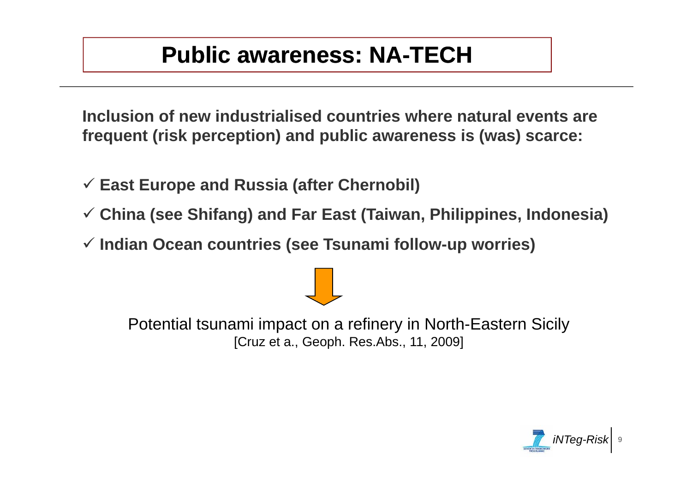**Inclusion of new industrialised countries where natural events are frequent (risk perception) and public awareness is (was) scarce:**

- 9 **East Europe and Russia (after Chernobil) (after**
- 9 **China (see Shifang) and Far East (Taiwan, Philippines, Indonesia)**
- 9 **Indian Ocean countries (see Tsunami follow -up worries) up**

Potential tsunami impact on a refinery in North-Eastern Sicily [Cruz et a., Geoph. Res.Abs., 11, 2009]

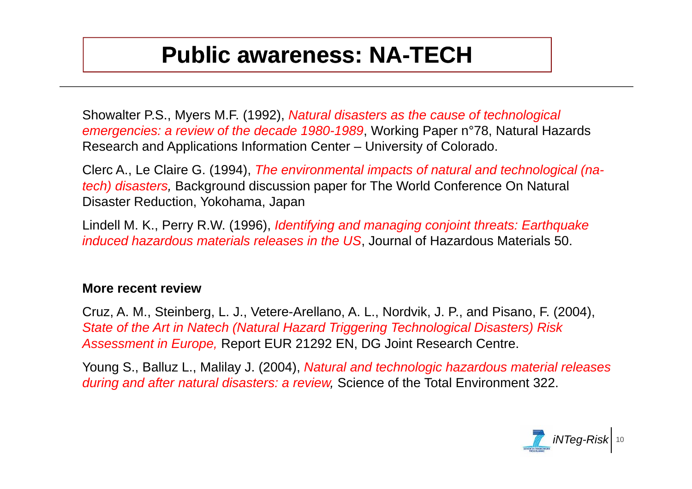Showalter P.S., Myers M.F. (1992), *Natural disasters as the cause of technological emergencies: <sup>a</sup> review of the decade 1980 1980-1989*, Working Paper <sup>n</sup> °78 Natural Hazards 78, Research and Applications Information Center – University of Colorado.

Clerc A., Le Claire G. (1994), *The environmental impacts of natural and technological (natech) disasters*. Background discussion paper for The World Conference On Natural Disaster Reduction, Yokohama, Japan

Lindell M. K., Perry R.W. (1996), *Identifying and managing conjoint threats: Earthquake induced hazardous materials releases in the US in* , Journal of Hazardous Materials 50 50.

#### **More recent review**

Cruz, A. M., Steinberg, L. J., Vetere-Arellano, A. L., Nordvik, J. P., and Pisano, F. (2004), *State of the Art in Natech (Natural Hazard Triggering Technological Disasters) Risk Assessment in Europe,* Report EUR 21292 EN, DG Joint Research Centre.

Young S., Balluz L., Malilay J. (2004), *Natural and technologic hazardous material releases during and after natural disasters: a review,* Science of the Total Environment 322.

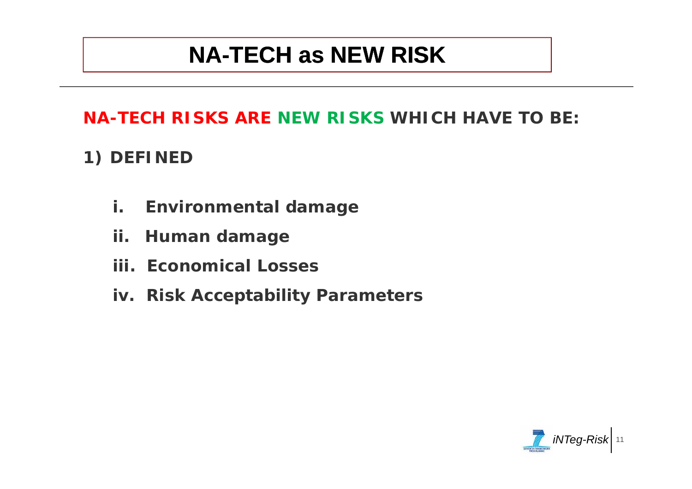# **NA-TECH as NEW RISK**

#### **NA-TECH RISKS ARE NEW RISKS WHICH HAVE TO BE:**

#### **1) DEFINED**

- **i. Environmental damage**
- **ii. Human damage**
- **iii. Economical Losses**
- **iv. Risk Acceptability Parameters**

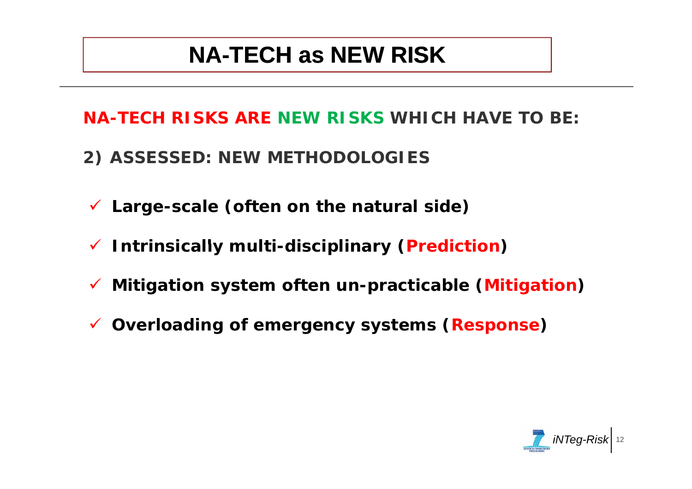# **NA-TECH as NEW RISK**

**NA-TECH RISKS ARE NEW RISKS WHICH HAVE TO BE:**

- **2) ASSESSED: NEW METHODOLOGIES**
	- 9 **Large-scale (often on the natural side)**
	- 9 **Intrinsically multi multi-disciplinary ( disciplinary (Prediction Prediction)**
- $\sqrt{2}$ **Mitigation system often un-practicable (Mitigation)**
- 9 **Overloading of emergency systems (Response)**

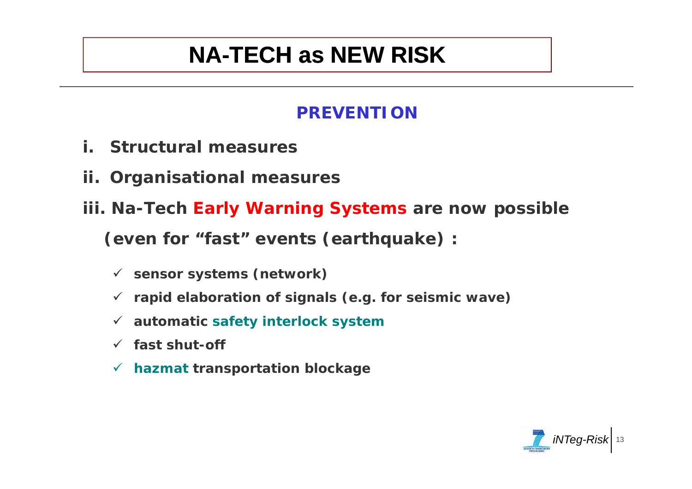# **NA-TECH as NEW RISK**

#### **PREVENTION**

- **i. Structural measures**
- **ii. Organisational measures**
- **iii. Na-Tech Early Warning Systems are now possible**

**(even for "fast" events (earthquake) :**

- 9 **sensor systems (network)**
- 9 **rapid elaboration of signals (e g for seismic wave) (e.g.**
- 9 **automatic** *safety interlock system*
- 9 **fast shut-off**
- 9 *hazmat* **transportation blockage**

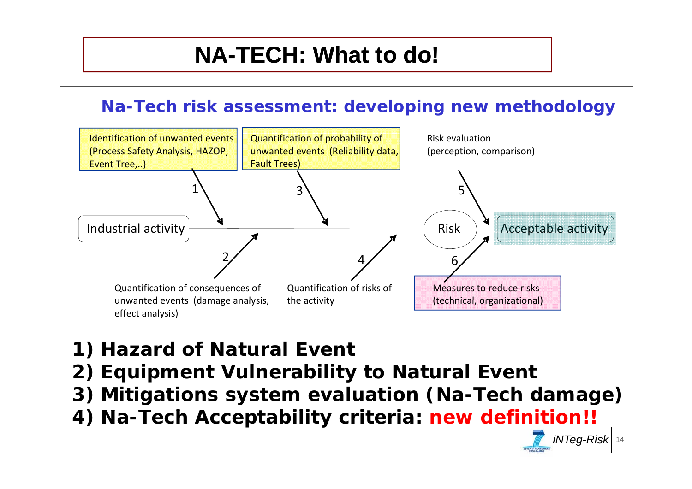# **NA-TECH: What to do! TECH:**

#### **Na-Tech risk assessment: developing new methodology**



**1) Hazard of Natural Event 2) Equipment Vulnerability to Natural Event 3) Mitigations system evaluation (Na-Tech damage)** 4) Na-Tech Acceptability criteria: new definition!!

*iNTeg-Risk* 14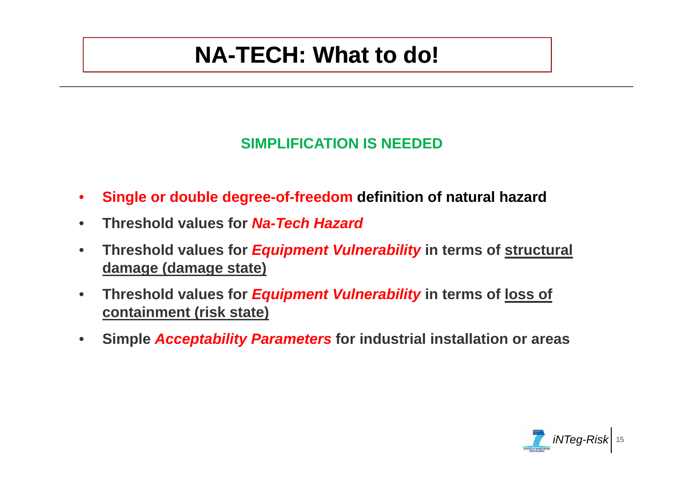# **NA-TECH: What to do! TECH:**

#### **SIMPLIFICATION IS NEEDED**

- $\bullet$ **Single or double degree-of-freedom definition of natural hazard**
- •**Threshold values for** *Na-Tech Hazard*
- $\bullet$  **Threshold values for** *Equipment Vulnerability* **in terms of structural damage (damage state)**
- $\bullet$ • Threshold values for *Equipment Vulnerability* in terms of <u>loss of</u> **containment (risk state)**
- $\bullet$ **Simple** *Acceptability Parameters* **for industrial installation or areas**